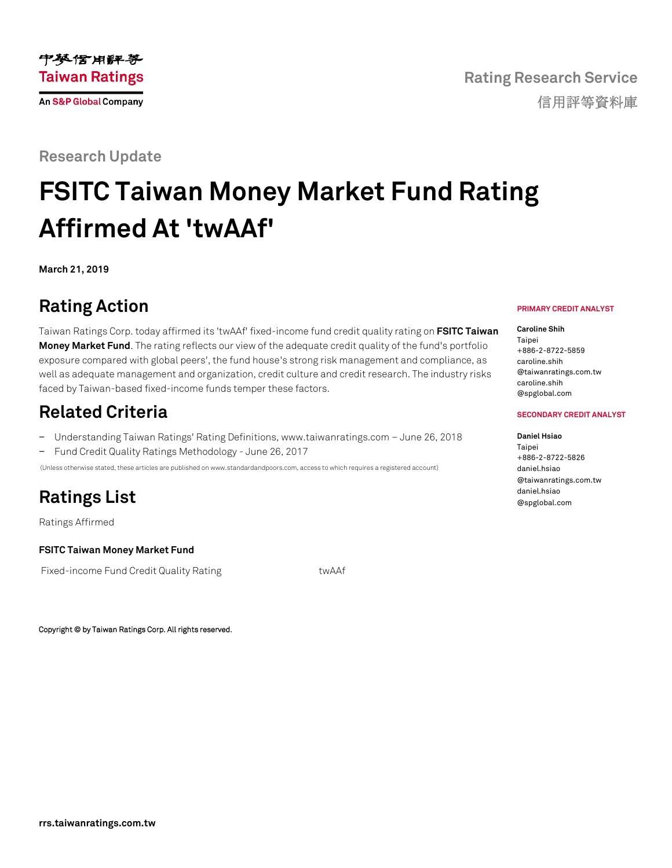### **Research Update**

# **FSITC Taiwan Money Market Fund Rating Affirmed At 'twAAf'**

**March 21, 2019**

## **Rating Action**

Taiwan Ratings Corp. today affirmed its 'twAAf' fixed-income fund credit quality rating on **[FSITC Taiwan](https://rrs.taiwanratings.com.tw/portal/member/viewFund/536)  [Money Market Fund](https://rrs.taiwanratings.com.tw/portal/member/viewFund/536)**. The rating reflects our view of the adequate credit quality of the fund's portfolio exposure compared with global peers', the fund house's strong risk management and compliance, as well as adequate management and organization, credit culture and credit research. The industry risks faced by Taiwan-based fixed-income funds temper these factors.

### **Related Criteria**

− Understanding Taiwan Ratings' Rating Definitions, www.taiwanratings.com – June 26, 2018 − Fund Credit Quality Ratings Methodology - June 26, 2017

(Unless otherwise stated, these articles are published on www.standardandpoors.com, access to which requires a registered account)

### **Ratings List**

Ratings Affirmed

#### **FSITC Taiwan Money Market Fund**

Fixed-income Fund Credit Quality Rating twAAf

Copyright © by Taiwan Ratings Corp. All rights reserved.

#### **PRIMARY CREDIT ANALYST**

#### **Caroline Shih**

Taipei +886-2-8722-5859 caroline.shih @taiwanratings.com.tw caroline.shih @spglobal.com

#### **SECONDARY CREDIT ANALYST**

#### **Daniel Hsiao**

Tainei +886-2-8722-5826 daniel.hsiao @taiwanratings.com.tw daniel.hsiao @spglobal.com

**rrs.taiwanratings.com.tw**

**Rating Research Service** 信用評等資料庫